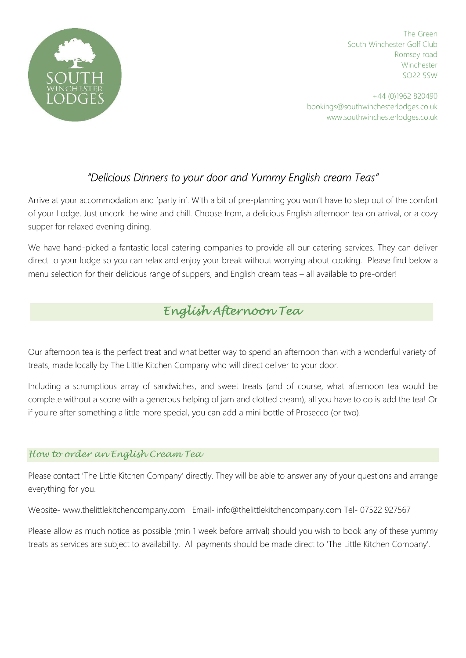

The Green South Winchester Golf Club Romsey road **Winchester** SO22 5SW

+44 (0)1962 820490 bookings@southwinchesterlodges.co.uk www.southwinchesterlodges.co.uk

## "Delicious Dinners to your door and Yummy English cream Teas"

Arrive at your accommodation and 'party in'. With a bit of pre-planning you won't have to step out of the comfort of your Lodge. Just uncork the wine and chill. Choose from, a delicious English afternoon tea on arrival, or a cozy supper for relaxed evening dining.

We have hand-picked a fantastic local catering companies to provide all our catering services. They can deliver direct to your lodge so you can relax and enjoy your break without worrying about cooking. Please find below a menu selection for their delicious range of suppers, and English cream teas – all available to pre-order!

# A perfect way to start your holiday, that great British tradition, served on fine bone china in the comfort of your lodge! English Afternoon Tea

Our afternoon tea is the perfect treat and what better way to spend an afternoon than with a wonderful variety of treats, made locally by The Little Kitchen Company who will direct deliver to your door.

Including a scrumptious array of sandwiches, and sweet treats (and of course, what afternoon tea would be complete without a scone with a generous helping of jam and clotted cream), all you have to do is add the tea! Or if you're after something a little more special, you can add a mini bottle of Prosecco (or two).

### How to order an English Cream Tea

Please contact 'The Little Kitchen Company' directly. They will be able to answer any of your questions and arrange everything for you.

Website- www.thelittlekitchencompany.com Email- info@thelittlekitchencompany.com Tel- 07522 927567

Please allow as much notice as possible (min 1 week before arrival) should you wish to book any of these yummy treats as services are subject to availability. All payments should be made direct to 'The Little Kitchen Company'.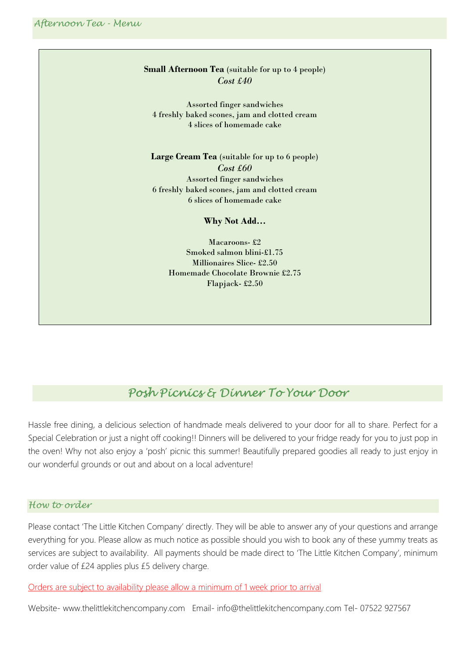#### Small Afternoon Tea (suitable for up to 4 people) Cost £40

Assorted finger sandwiches 4 freshly baked scones, jam and clotted cream 4 slices of homemade cake

Large Cream Tea (suitable for up to 6 people) Cost £60 Assorted finger sandwiches 6 freshly baked scones, jam and clotted cream 6 slices of homemade cake

Why Not Add…

Macaroons- £2 Smoked salmon blini-£1.75 Millionaires Slice- £2.50 Homemade Chocolate Brownie £2.75 Flapjack- £2.50

## Posh Picnics & Dinner To Your Door

Hassle free dining, a delicious selection of handmade meals delivered to your door for all to share. Perfect for a Special Celebration or just a night off cooking!! Dinners will be delivered to your fridge ready for you to just pop in the oven! Why not also enjoy a 'posh' picnic this summer! Beautifully prepared goodies all ready to just enjoy in our wonderful grounds or out and about on a local adventure!

#### How to order

Please contact 'The Little Kitchen Company' directly. They will be able to answer any of your questions and arrange everything for you. Please allow as much notice as possible should you wish to book any of these yummy treats as services are subject to availability. All payments should be made direct to 'The Little Kitchen Company', minimum order value of £24 applies plus £5 delivery charge.

Orders are subject to availability please allow a minimum of 1 week prior to arrival

Website- www.thelittlekitchencompany.com Email- info@thelittlekitchencompany.com Tel- 07522 927567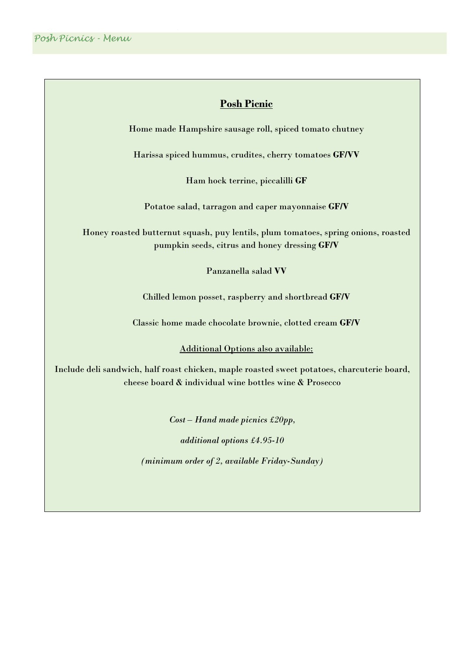### Posh Picnic

Home made Hampshire sausage roll, spiced tomato chutney

Harissa spiced hummus, crudites, cherry tomatoes GF/VV

Ham hock terrine, piccalilli GF

Potatoe salad, tarragon and caper mayonnaise GF/V

Honey roasted butternut squash, puy lentils, plum tomatoes, spring onions, roasted pumpkin seeds, citrus and honey dressing GF/V

Panzanella salad VV

Chilled lemon posset, raspberry and shortbread GF/V

Classic home made chocolate brownie, clotted cream GF/V

Additional Options also available:

Include deli sandwich, half roast chicken, maple roasted sweet potatoes, charcuterie board, cheese board & individual wine bottles wine & Prosecco

Cost – Hand made picnics £20pp,

additional options £4.95-10

(minimum order of 2, available Friday-Sunday)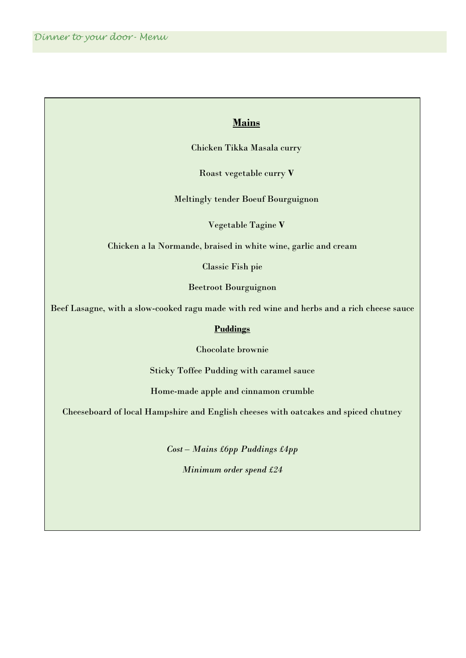### **Mains**

Chicken Tikka Masala curry

Roast vegetable curry V

Meltingly tender Boeuf Bourguignon

Vegetable Tagine V

Chicken a la Normande, braised in white wine, garlic and cream

Classic Fish pie

Beetroot Bourguignon

Beef Lasagne, with a slow-cooked ragu made with red wine and herbs and a rich cheese sauce

#### **Puddings**

Chocolate brownie

Sticky Toffee Pudding with caramel sauce

Home-made apple and cinnamon crumble

Cheeseboard of local Hampshire and English cheeses with oatcakes and spiced chutney

Cost – Mains £6pp Puddings £4pp Minimum order spend £24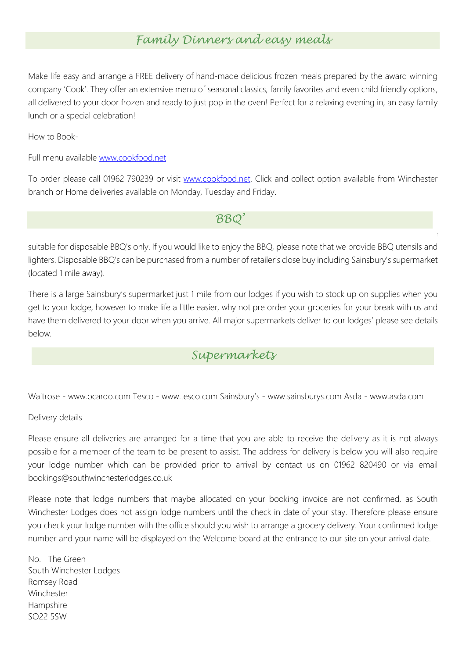## Family Dinners and easy meals

Make life easy and arrange a FREE delivery of hand-made delicious frozen meals prepared by the award winning company 'Cook'. They offer an extensive menu of seasonal classics, family favorites and even child friendly options, all delivered to your door frozen and ready to just pop in the oven! Perfect for a relaxing evening in, an easy family lunch or a special celebration!

How to Book-

Full menu available www.cookfood.net

To order please call 01962 790239 or visit www.cookfood.net. Click and collect option available from Winchester branch or Home deliveries available on Monday, Tuesday and Friday.

BBQ'

suitable for disposable BBQ's only. If you would like to enjoy the BBQ, please note that we provide BBQ utensils and lighters. Disposable BBQ's can be purchased from a number of retailer's close buy including Sainsbury's supermarket (located 1 mile away).

A great British tradition! We have now replaced our gas BBQ's with new BBQ stands for each lodge which are

There is a large Sainsbury's supermarket just 1 mile from our lodges if you wish to stock up on supplies when you get to your lodge, however to make life a little easier, why not pre order your groceries for your break with us and have them delivered to your door when you arrive. All major supermarkets deliver to our lodges' please see details below.

## Supermarkets

Waitrose - www.ocardo.com Tesco - www.tesco.com Sainsbury's - www.sainsburys.com Asda - www.asda.com

Delivery details

Please ensure all deliveries are arranged for a time that you are able to receive the delivery as it is not always possible for a member of the team to be present to assist. The address for delivery is below you will also require your lodge number which can be provided prior to arrival by contact us on 01962 820490 or via email bookings@southwinchesterlodges.co.uk

Please note that lodge numbers that maybe allocated on your booking invoice are not confirmed, as South Winchester Lodges does not assign lodge numbers until the check in date of your stay. Therefore please ensure you check your lodge number with the office should you wish to arrange a grocery delivery. Your confirmed lodge number and your name will be displayed on the Welcome board at the entrance to our site on your arrival date.

No. The Green South Winchester Lodges Romsey Road Winchester Hampshire SO22 5SW